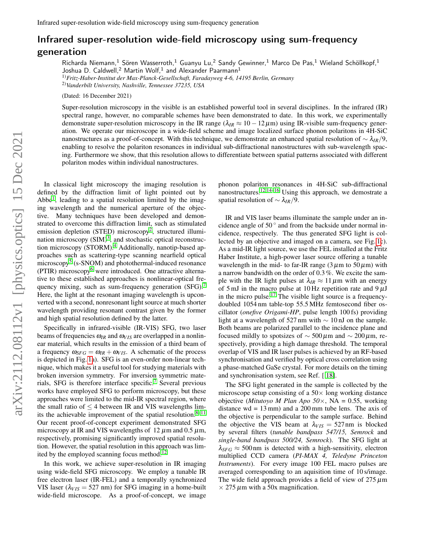## Infrared super-resolution wide-field microscopy using sum-frequency generation

Richarda Niemann,<sup>1</sup> Sören Wasserroth,<sup>1</sup> Guanyu Lu,<sup>2</sup> Sandy Gewinner,<sup>1</sup> Marco De Pas,<sup>1</sup> Wieland Schöllkopf,<sup>1</sup> Joshua D. Caldwell, $^2$  Martin Wolf, $^1$  and Alexander Paarmann $^1$ 

1)*Fritz-Haber-Institut der Max-Planck-Gesellschaft, Faradayweg 4-6, 14195 Berlin, Germany*

2)*Vanderbilt University, Nashville, Tennessee 37235, USA*

(Dated: 16 December 2021)

Super-resolution microscopy in the visible is an established powerful tool in several disciplines. In the infrared (IR) spectral range, however, no comparable schemes have been demonstrated to date. In this work, we experimentally demonstrate super-resolution microscopy in the IR range ( $\lambda_{IR} \approx 10 - 12 \,\mu$ m) using IR-visible sum-frequency generation. We operate our microscope in a wide-field scheme and image localized surface phonon polaritons in 4H-SiC nanostructures as a proof-of-concept. With this technique, we demonstrate an enhanced spatial resolution of ∼ λ*IR*/9, enabling to resolve the polariton resonances in individual sub-diffractional nanostructures with sub-wavelength spacing. Furthermore we show, that this resolution allows to differentiate between spatial patterns associated with different polariton modes within individual nanostructures.

In classical light microscopy the imaging resolution is defined by the diffraction limit of light pointed out by Abbe<sup>[1](#page-3-0)</sup>, leading to a spatial resolution limited by the imaging wavelength and the numerical aperture of the objective. Many techniques have been developed and demonstrated to overcome this diffraction limit, such as stimulated emission depletion (STED) microscopy<sup>[2](#page-3-1)</sup>, structured illumination microscopy  $(SIM)^3$  $(SIM)^3$ , and stochastic optical reconstruc-tion microscopy (STORM).<sup>[4](#page-3-3)</sup> Additionally, nanotip-based approaches such as scattering-type scanning nearfield optical microscopy<sup>[5](#page-3-4)</sup> (s-SNOM) and photothermal-induced resonance (PTIR) microscopy<sup>[6](#page-3-5)</sup> were introduced. One attractive alternative to these established approaches is nonlinear-optical fre-quency mixing, such as sum-frequency generation (SFG).<sup>[7](#page-3-6)</sup> Here, the light at the resonant imaging wavelength is upconverted with a second, nonresonant light source at much shorter wavelength providing resonant contrast given by the former and high spatial resolution defined by the latter.

Specifically in infrared-visible (IR-VIS) SFG, two laser beams of frequencies  $\omega_{IR}$  and  $\omega_{VIS}$  are overlapped in a nonlinear material, which results in the emission of a third beam of a frequency  $\omega_{SFG} = \omega_{IR} + \omega_{VIS}$ . A schematic of the process is depicted in Fig. [1a](#page-1-0)). SFG is an even-order non-linear technique, which makes it a useful tool for studying materials with broken inversion symmetry. For inversion symmetric mate-rials, SFG is therefore interface specific.<sup>[7](#page-3-6)</sup> Several previous works have employed SFG to perform microscopy, but these approaches were limited to the mid-IR spectral region, where the small ratio of  $\leq$  4 between IR and VIS wavelengths limits the achievable improvement of the spatial resolution. $8-11$  $8-11$ Our recent proof-of-concept experiment demonstrated SFG microscopy at IR and VIS wavelengths of 12  $\mu$ m and 0.5  $\mu$ m, respectively, promising significantly improved spatial resolution. However, the spatial resolution in this approach was lim-ited by the employed scanning focus method.<sup>[12](#page-3-9)</sup>

In this work, we achieve super-resolution in IR imaging using wide-field SFG microscopy. We employ a tunable IR free electron laser (IR-FEL) and a temporally synchronized VIS laser  $(\lambda_{VIS} = 527 \text{ nm})$  for SFG imaging in a home-built wide-field microscope. As a proof-of-concept, we image

phonon polariton resonances in 4H-SiC sub-diffractional nanostructures.<sup>[12,](#page-3-9)[14](#page-3-10)[–16](#page-3-11)</sup> Using this approach, we demostrate a spatial resolution of ∼ λ*IR*/9.

IR and VIS laser beams illuminate the sample under an incidence angle of  $50^{\circ}$  and from the backside under normal incidence, respectively. The thus generated SFG light is collected by an objective and imaged on a camera, see Fig. [1c](#page-1-0)). As a mid-IR light source, we use the FEL installed at the Fritz Haber Institute, a high-power laser source offering a tunable wavelength in the mid- to far-IR range  $(3 \mu m)$  to  $50 \mu m)$  with a narrow bandwidth on the order of 0.3 %. We excite the sample with the IR light pulses at  $\lambda_{IR} \approx 11 \,\mu$ m with an energy of 5 mJ in the macro pulse at 10 Hz repetition rate and  $9 \mu$ J in the micro pulse.<sup>[17](#page-3-12)</sup> The visible light source is a frequencydoubled 1054 nm table-top 55.5 MHz femtosecond fiber oscillator (*onefive Origami-HP*, pulse length 100 fs) providing light at a wavelength of 527 nm with  $\sim 10 \text{ nJ}$  on the sample. Both beams are polarized parallel to the incidence plane and focused mildly to spotsizes of  $\sim$  500 μm and  $\sim$  200 μm, respectively, providing a high damage threshold. The temporal overlap of VIS and IR laser pulses is achieved by an RF-based synchronisation and verified by optical cross correlation using a phase-matched GaSe crystal. For more details on the timing and synchronisation system, see Ref. [ [18\]](#page-3-13).

The SFG light generated in the sample is collected by the microscope setup consisting of a  $50\times$  long working distance objective (*Mitutoyo M Plan Apo 50*×, NA = 0.55, working distance  $wd = 13$  mm) and a 200 mm tube lens. The axis of the objective is perpendicular to the sample surface. Behind the objective the VIS beam at  $\lambda_{VIS} = 527$  nm is blocked by several filters (*tunable bandpass 547/15, Semrock* and *single-band bandpass 500/24, Semrock*). The SFG light at  $\lambda_{SFG} \approx 500$  nm is detected with a high-sensitivity, electron multiplied CCD camera (*PI-MAX 4, Teledyne Princeton Instruments*). For every image 100 FEL macro pulses are averaged corresponding to an aquisition time of 10 s/image. The wide field approach provides a field of view of  $275 \mu m$  $\times$  275  $\mu$ m with a 50x magnification.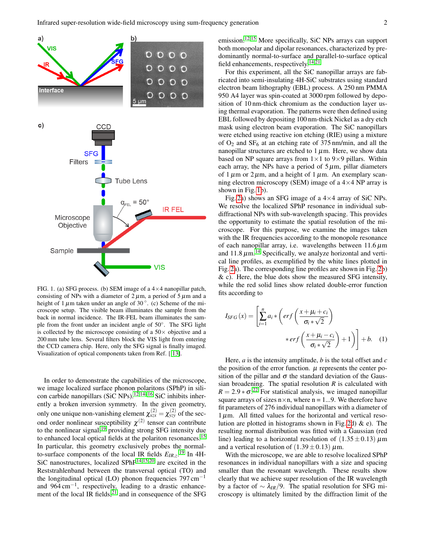

<span id="page-1-0"></span>FIG. 1. (a) SFG process. (b) SEM image of a  $4\times4$  nanopillar patch, consisting of NPs with a diameter of  $2 \mu$ m, a period of  $5 \mu$ m and a height of 1  $\mu$ m taken under an angle of 30 $^{\circ}$ . (c) Scheme of the microscope setup. The visible beam illuminates the sample from the back in normal incidence. The IR-FEL beam illuminates the sample from the front under an incident angle of 50°. The SFG light is collected by the microscope consisting of a  $50\times$  objective and a 200 mm tube lens. Several filters block the VIS light from entering the CCD camera chip. Here, only the SFG signal is finally imaged. Visualization of optical components taken from Ref. [ [13\]](#page-3-14).

In order to demonstrate the capabilities of the microscope, we image localized surface phonon polaritons (SPhP) in sili-con carbide nanopillars (SiC NPs).<sup>[12](#page-3-9)[,14–](#page-3-10)[16](#page-3-11)</sup> SiC inhibits inherently a broken inversion symmetry. In the given geometry, only one unique non-vanishing element  $\chi_{xx}^{(2)} = \chi_{yzy}^{(2)}$  of the second order nonlinear susceptibility  $\chi^{(2)}$  tensor can contribute to the nonlinear signal,  $19$  providing strong SFG intensity due to enhanced local optical fields at the polariton resonances.<sup>[15](#page-3-16)</sup> In particular, this geometry exclusively probes the normalto-surface components of the local IR fields  $E_{IR,z}$ .<sup>[19](#page-3-15)</sup> In 4H-SiC nanostructures, localized SPhP<sup>[14](#page-3-10)[,15,](#page-3-16)[20](#page-3-17)</sup> are excited in the Reststrahlenband between the transversal optical (TO) and the longitudinal optical (LO) phonon frequencies  $797 \text{ cm}^{-1}$ and 964 cm−<sup>1</sup> , respectively, leading to a drastic enhancement of the local IR fields, $^{21}$  $^{21}$  $^{21}$  and in consequence of the SFG

emission.[12](#page-3-9)[,15](#page-3-16) More specifically, SiC NPs arrays can support both monopolar and dipolar resonances, characterized by predominantly normal-to-surface and parallel-to-surface optical field enhancements, respectively.<sup>[14](#page-3-10)[,21](#page-3-18)</sup>

For this experiment, all the SiC nanopillar arrays are fabricated into semi-insulating 4H-SiC substrates using standard electron beam lithography (EBL) process. A 250 nm PMMA 950 A4 layer was spin-coated at 3000 rpm followed by deposition of 10 nm-thick chromium as the conduction layer using thermal evaporation. The patterns were then defined using EBL followed by depositing 100 nm-thick Nickel as a dry etch mask using electron beam evaporation. The SiC nanopillars were etched using reactive ion etching (RIE) using a mixture of  $O_2$  and  $SF_6$  at an etching rate of 375 nm/min, and all the nanopillar structures are etched to  $1 \mu$ m. Here, we show data based on NP square arrays from  $1 \times 1$  to 9×9 pillars. Within each array, the NPs have a period of  $5 \mu$ m, pillar diameters of 1  $\mu$ m or 2  $\mu$ m, and a height of 1  $\mu$ m. An exemplary scanning electron microscopy (SEM) image of a  $4\times4$  NP array is shown in Fig. [1b](#page-1-0)).

Fig. [2a](#page-2-0)) shows an SFG image of a  $4\times4$  array of SiC NPs. We resolve the localized SPhP resonance in individual subdiffractional NPs with sub-wavelength spacing. This provides the opportunity to estimate the spatial resolution of the microscope. For this purpose, we examine the images taken with the IR frequencies according to the monopole resonance of each nanopillar array, i.e. wavelengths between  $11.6 \,\mu m$ and  $11.8 \mu m$ .<sup>[14](#page-3-10)</sup> Specifically, we analyze horizontal and vertical line profiles, as exemplified by the white lines plotted in Fig. [2a](#page-2-0)). The corresponding line profiles are shown in Fig. [2b](#page-2-0)) & c). Here, the blue dots show the measured SFG intensity, while the red solid lines show related double-error function fits according to

<span id="page-1-1"></span>
$$
I_{SFG}(x) = \left[ \sum_{i=1}^{n} a_i * \left( erf \left( \frac{x + \mu_i + c_i}{\sigma_i * \sqrt{2}} \right) \right. \\ \left. \left. \left. \star erf \left( \frac{x + \mu_i - c_i}{\sigma_i * \sqrt{2}} \right) + 1 \right) \right] + b. \quad (1)
$$

Here, *a* is the intensity amplitude, *b* is the total offset and *c* the position of the error function.  $\mu$  represents the center position of the pillar and  $\sigma$  the standard deviation of the Gaussian broadening. The spatial resolution  $R$  is calculated with  $R = 2.9 * \sigma^{22}$  $R = 2.9 * \sigma^{22}$  $R = 2.9 * \sigma^{22}$  For statistical analysis, we imaged nanopillar square arrays of sizes  $n \times n$ , where  $n = 1...9$ . We therefore have fit parameters of 276 individual nanopillars with a diameter of  $1 \mu$ m. All fitted values for the horizontal and vertical reso-lution are plotted in histograms shown in Fig. [2d](#page-2-0))  $\&$  e). The resulting normal distribution was fitted with a Gaussian (red line) leading to a horizontal resolution of  $(1.35 \pm 0.13) \mu$ m and a vertical resolution of  $(1.39 \pm 0.13) \mu$ m.

With the microscope, we are able to resolve localized SPhP resonances in individual nanopillars with a size and spacing smaller than the resonant wavelength. These results show clearly that we achieve super resolution of the IR wavelength by a factor of ∼ λ*IR*/9. The spatial resolution for SFG microscopy is ultimately limited by the diffraction limit of the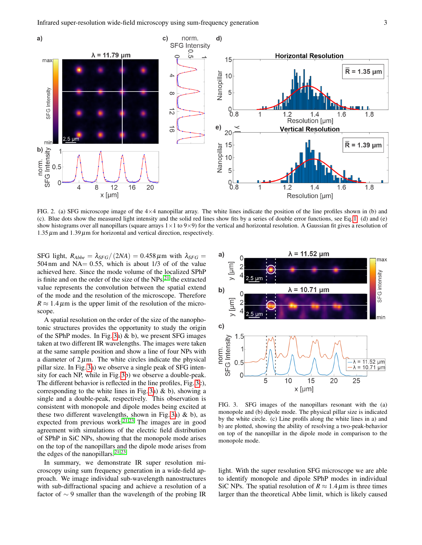

<span id="page-2-0"></span>FIG. 2. (a) SFG microscope image of the  $4\times4$  nanopillar array. The white lines indicate the position of the line profiles shown in (b) and (c). Blue dots show the measured light intensity and the solid red lines show fits by a series of double error functions, see Eq. [1.](#page-1-1) (d) and (e) show histograms over all nanopillars (square arrays  $1\times1$  to  $9\times9$ ) for the vertical and horizontal resolution. A Gaussian fit gives a resolution of  $1.35 \mu$ m and  $1.39 \mu$ m for horizontal and vertical direction, respectively.

SFG light,  $R_{Abbe} = \lambda_{SFG}/(2NA) = 0.458 \,\mu \text{m}$  with  $\lambda_{SFG}$ 504 nm and NA $= 0.55$ , which is about 1/3 of of the value achieved here. Since the mode volume of the localized SPhP is finite and on the order of the size of the  $NPs$ ,<sup>[21](#page-3-18)</sup> the extracted value represents the convolution between the spatial extend of the mode and the resolution of the microscope. Therefore  $R \approx 1.4 \,\mu\text{m}$  is the upper limit of the resolution of the microscope.

A spatial resolution on the order of the size of the nanophotonic structures provides the opportunity to study the origin of the SPhP modes. In Fig. [3a](#page-2-1))  $\&$  b), we present SFG images taken at two different IR wavelengths. The images were taken at the same sample position and show a line of four NPs with a diameter of  $2\mu$ m. The white circles indicate the physical pillar size. In Fig. [3a](#page-2-1)) we observe a single peak of SFG intensity for each NP, while in Fig. [3b](#page-2-1)) we observe a double-peak. The different behavior is reflected in the line profiles, Fig. [3c](#page-2-1)), corresponding to the white lines in Fig. [3a](#page-2-1))  $\&$  b), showing a single and a double-peak, respectively. This observation is consistent with monopole and dipole modes being excited at these two different wavelengths, shown in Fig. [3a](#page-2-1))  $\&$  b), as expected from previous work. $2^{1,23}$  $2^{1,23}$  $2^{1,23}$  The images are in good agreement with simulations of the electric field distribution of SPhP in SiC NPs, showing that the monopole mode arises on the top of the nanopillars and the dipole mode arises from the edges of the nanopillars.<sup>[21](#page-3-18)[,23](#page-3-20)</sup>

In summary, we demonstrate IR super resolution microscopy using sum frequency generation in a wide-field approach. We image individual sub-wavelength nanostructures with sub-diffractional spacing and achieve a resolution of a factor of ∼ 9 smaller than the wavelength of the probing IR



<span id="page-2-1"></span>FIG. 3. SFG images of the nanopillars resonant with the (a) monopole and (b) dipole mode. The physical pillar size is indicated by the white circle. (c) Line profils along the white lines in a) and b) are plotted, showing the ability of resolving a two-peak-behavior on top of the nanopillar in the dipole mode in comparison to the monopole mode.

light. With the super resolution SFG microscope we are able to identify monopole and dipole SPhP modes in individual SiC NPs. The spatial resolution of  $R \approx 1.4 \,\mu$ m is three times larger than the theoretical Abbe limit, which is likely caused